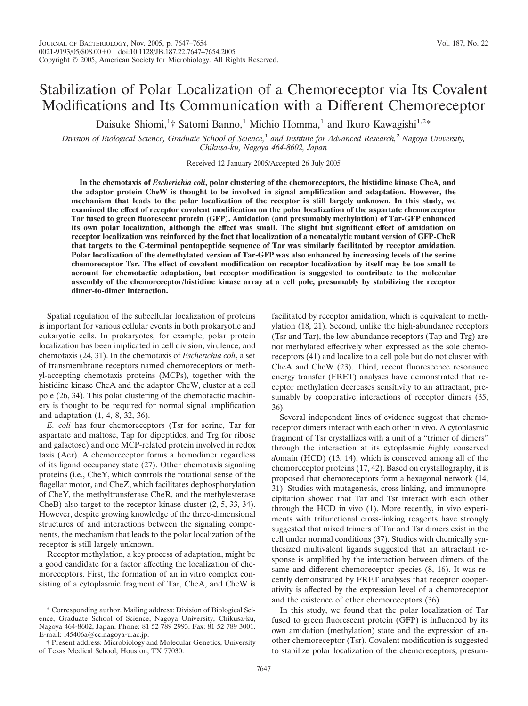# Stabilization of Polar Localization of a Chemoreceptor via Its Covalent Modifications and Its Communication with a Different Chemoreceptor

Daisuke Shiomi,<sup>1</sup>† Satomi Banno,<sup>1</sup> Michio Homma,<sup>1</sup> and Ikuro Kawagishi<sup>1,2\*</sup>

*Division of Biological Science, Graduate School of Science,*<sup>1</sup> *and Institute for Advanced Research,*<sup>2</sup> *Nagoya University, Chikusa-ku, Nagoya 464-8602, Japan*

Received 12 January 2005/Accepted 26 July 2005

**In the chemotaxis of** *Escherichia coli***, polar clustering of the chemoreceptors, the histidine kinase CheA, and the adaptor protein CheW is thought to be involved in signal amplification and adaptation. However, the mechanism that leads to the polar localization of the receptor is still largely unknown. In this study, we examined the effect of receptor covalent modification on the polar localization of the aspartate chemoreceptor Tar fused to green fluorescent protein (GFP). Amidation (and presumably methylation) of Tar-GFP enhanced its own polar localization, although the effect was small. The slight but significant effect of amidation on receptor localization was reinforced by the fact that localization of a noncatalytic mutant version of GFP-CheR that targets to the C-terminal pentapeptide sequence of Tar was similarly facilitated by receptor amidation. Polar localization of the demethylated version of Tar-GFP was also enhanced by increasing levels of the serine chemoreceptor Tsr. The effect of covalent modification on receptor localization by itself may be too small to account for chemotactic adaptation, but receptor modification is suggested to contribute to the molecular assembly of the chemoreceptor/histidine kinase array at a cell pole, presumably by stabilizing the receptor dimer-to-dimer interaction.**

Spatial regulation of the subcellular localization of proteins is important for various cellular events in both prokaryotic and eukaryotic cells. In prokaryotes, for example, polar protein localization has been implicated in cell division, virulence, and chemotaxis (24, 31). In the chemotaxis of *Escherichia coli*, a set of transmembrane receptors named chemoreceptors or methyl-accepting chemotaxis proteins (MCPs), together with the histidine kinase CheA and the adaptor CheW, cluster at a cell pole (26, 34). This polar clustering of the chemotactic machinery is thought to be required for normal signal amplification and adaptation (1, 4, 8, 32, 36).

*E. coli* has four chemoreceptors (Tsr for serine, Tar for aspartate and maltose, Tap for dipeptides, and Trg for ribose and galactose) and one MCP-related protein involved in redox taxis (Aer). A chemoreceptor forms a homodimer regardless of its ligand occupancy state (27). Other chemotaxis signaling proteins (i.e., CheY, which controls the rotational sense of the flagellar motor, and CheZ, which facilitates dephosphorylation of CheY, the methyltransferase CheR, and the methylesterase CheB) also target to the receptor-kinase cluster (2, 5, 33, 34). However, despite growing knowledge of the three-dimensional structures of and interactions between the signaling components, the mechanism that leads to the polar localization of the receptor is still largely unknown.

Receptor methylation, a key process of adaptation, might be a good candidate for a factor affecting the localization of chemoreceptors. First, the formation of an in vitro complex consisting of a cytoplasmic fragment of Tar, CheA, and CheW is facilitated by receptor amidation, which is equivalent to methylation (18, 21). Second, unlike the high-abundance receptors (Tsr and Tar), the low-abundance receptors (Tap and Trg) are not methylated effectively when expressed as the sole chemoreceptors (41) and localize to a cell pole but do not cluster with CheA and CheW (23). Third, recent fluorescence resonance energy transfer (FRET) analyses have demonstrated that receptor methylation decreases sensitivity to an attractant, presumably by cooperative interactions of receptor dimers (35, 36).

Several independent lines of evidence suggest that chemoreceptor dimers interact with each other in vivo. A cytoplasmic fragment of Tsr crystallizes with a unit of a "trimer of dimers" through the interaction at its cytoplasmic *h*ighly *c*onserved *d*omain (HCD) (13, 14), which is conserved among all of the chemoreceptor proteins (17, 42). Based on crystallography, it is proposed that chemoreceptors form a hexagonal network (14, 31). Studies with mutagenesis, cross-linking, and immunoprecipitation showed that Tar and Tsr interact with each other through the HCD in vivo (1). More recently, in vivo experiments with trifunctional cross-linking reagents have strongly suggested that mixed trimers of Tar and Tsr dimers exist in the cell under normal conditions (37). Studies with chemically synthesized multivalent ligands suggested that an attractant response is amplified by the interaction between dimers of the same and different chemoreceptor species (8, 16). It was recently demonstrated by FRET analyses that receptor cooperativity is affected by the expression level of a chemoreceptor and the existence of other chemoreceptors (36).

In this study, we found that the polar localization of Tar fused to green fluorescent protein (GFP) is influenced by its own amidation (methylation) state and the expression of another chemoreceptor (Tsr). Covalent modification is suggested to stabilize polar localization of the chemoreceptors, presum-

<sup>\*</sup> Corresponding author. Mailing address: Division of Biological Science, Graduate School of Science, Nagoya University, Chikusa-ku, Nagoya 464-8602, Japan. Phone: 81 52 789 2993. Fax: 81 52 789 3001. E-mail: i45406a@cc.nagoya-u.ac.jp.

<sup>†</sup> Present address: Microbiology and Molecular Genetics, University of Texas Medical School, Houston, TX 77030.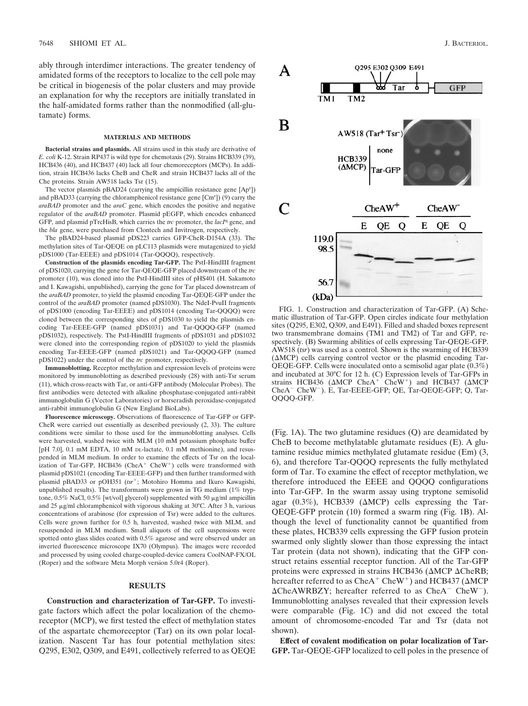ably through interdimer interactions. The greater tendency of amidated forms of the receptors to localize to the cell pole may be critical in biogenesis of the polar clusters and may provide an explanation for why the receptors are initially translated in the half-amidated forms rather than the nonmodified (all-glutamate) forms.

### **MATERIALS AND METHODS**

**Bacterial strains and plasmids.** All strains used in this study are derivative of *E. coli* K-12. Strain RP437 is wild type for chemotaxis (29). Strains HCB339 (39), HCB436 (40), and HCB437 (40) lack all four chemoreceptors (MCPs). In addition, strain HCB436 lacks CheB and CheR and strain HCB437 lacks all of the Che proteins. Strain AW518 lacks Tsr (15).

The vector plasmids pBAD24 (carrying the ampicillin resistance gene [Ap<sup>r</sup>]) and pBAD33 (carrying the chloramphenicol resistance gene [Cm<sup>r</sup>]) (9) carry the *araBAD* promoter and the *araC* gene, which encodes the positive and negative regulator of the *araBAD* promoter. Plasmid pEGFP, which encodes enhanced GFP, and plasmid pTrcHisB, which carries the *trc* promoter, the *lacI*<sup>q</sup> gene, and the *bla* gene, were purchased from Clontech and Invitrogen, respectively.

The pBAD24-based plasmid pDS223 carries GFP-CheR-D154A (33). The methylation sites of Tar-QEQE on pLC113 plasmids were mutagenized to yield pDS1000 (Tar-EEEE) and pDS1014 (Tar-QQQQ), respectively.

**Construction of the plasmids encoding Tar-GFP.** The PstI-HindIII fragment of pDS1020, carrying the gene for Tar-QEQE-GFP placed downstream of the *trc* promoter (10), was cloned into the PstI-HindIII sites of pHS401 (H. Sakamoto and I. Kawagishi, unpublished), carrying the gene for Tar placed downstream of the *araBAD* promoter, to yield the plasmid encoding Tar-QEQE-GFP under the control of the *araBAD* promoter (named pDS1030). The NdeI-PvuII fragments of pDS1000 (encoding Tar-EEEE) and pDS1014 (encoding Tar-QQQQ) were cloned between the corresponding sites of pDS1030 to yield the plasmids encoding Tar-EEEE-GFP (named pDS1031) and Tar-QQQQ-GFP (named pDS1032), respectively. The PstI-HindIII fragments of pDS1031 and pDS1032 were cloned into the corresponding region of pDS1020 to yield the plasmids encoding Tar-EEEE-GFP (named pDS1021) and Tar-QQQQ-GFP (named pDS1022) under the control of the *trc* promoter, respectively.

**Immunoblotting.** Receptor methylation and expression levels of proteins were monitored by immunoblotting as described previously (28) with anti-Tsr serum (11), which cross-reacts with Tar, or anti-GFP antibody (Molecular Probes). The first antibodies were detected with alkaline phosphatase-conjugated anti-rabbit immunoglobulin G (Vector Laboratories) or horseradish peroxidase-conjugated anti-rabbit immunoglobulin G (New England BioLabs).

**Fluorescence microscopy.** Observations of fluorescence of Tar-GFP or GFP-CheR were carried out essentially as described previously (2, 33). The culture conditions were similar to those used for the immunoblotting analyses. Cells were harvested, washed twice with MLM (10 mM potassium phosphate buffer [pH 7.0], 0.1 mM EDTA, 10 mM DL-lactate, 0.1 mM methionine), and resuspended in MLM medium. In order to examine the effects of Tsr on the localization of Tar-GFP, HCB436 (CheA<sup>+</sup> CheW<sup>+</sup>) cells were transformed with plasmid pDS1021 (encoding Tar-EEEE-GFP) and then further transformed with plasmid pBAD33 or pOH351 (tsr<sup>+</sup>; Motohiro Homma and Ikuro Kawagishi, unpublished results). The transformants were grown in TG medium (1% tryptone,  $0.5\%$  NaCl,  $0.5\%$  [wt/vol] glycerol) supplemented with 50  $\mu$ g/ml ampicillin and 25 µg/ml chloramphenicol with vigorous shaking at 30°C. After 3 h, various concentrations of arabinose (for expression of Tsr) were added to the cultures. Cells were grown further for 0.5 h, harvested, washed twice with MLM, and resuspended in MLM medium. Small aliquots of the cell suspensions were spotted onto glass slides coated with 0.5% agarose and were observed under an inverted fluorescence microscope IX70 (Olympus). The images were recorded and processed by using cooled charge-coupled-device camera CoolNAP-FX/OL (Roper) and the software Meta Morph version 5.0r4 (Roper).

### **RESULTS**

**Construction and characterization of Tar-GFP.** To investigate factors which affect the polar localization of the chemoreceptor (MCP), we first tested the effect of methylation states of the aspartate chemoreceptor (Tar) on its own polar localization. Nascent Tar has four potential methylation sites: Q295, E302, Q309, and E491, collectively referred to as QEQE



FIG. 1. Construction and characterization of Tar-GFP. (A) Schematic illustration of Tar-GFP. Open circles indicate four methylation sites (Q295, E302, Q309, and E491). Filled and shaded boxes represent two transmembrane domains (TM1 and TM2) of Tar and GFP, respectively. (B) Swarming abilities of cells expressing Tar-QEQE-GFP. AW518 (*tsr*) was used as a control. Shown is the swarming of HCB339  $(\Delta MCP)$  cells carrying control vector or the plasmid encoding Tar-QEQE-GFP. Cells were inoculated onto a semisolid agar plate (0.3%) and incubated at 30°C for 12 h. (C) Expression levels of Tar-GFPs in strains HCB436 ( $\triangle MCP$  CheA<sup>+</sup> CheW<sup>+</sup>) and HCB437 ( $\triangle MCP$ CheA<sup>-</sup> CheW<sup>-</sup>). E, Tar-EEEE-GFP; QE, Tar-QEQE-GFP; Q, Tar-QQQQ-GFP.

(Fig. 1A). The two glutamine residues (Q) are deamidated by CheB to become methylatable glutamate residues (E). A glutamine residue mimics methylated glutamate residue (Em) (3, 6), and therefore Tar-QQQQ represents the fully methylated form of Tar. To examine the effect of receptor methylation, we therefore introduced the EEEE and QQQQ configurations into Tar-GFP. In the swarm assay using tryptone semisolid agar (0.3%), HCB339 ( $\triangle MCP$ ) cells expressing the Tar-QEQE-GFP protein (10) formed a swarm ring (Fig. 1B). Although the level of functionality cannot be quantified from these plates, HCB339 cells expressing the GFP fusion protein swarmed only slightly slower than those expressing the intact Tar protein (data not shown), indicating that the GFP construct retains essential receptor function. All of the Tar-GFP proteins were expressed in strains HCB436 ( $\triangle MCP \triangle CheRB$ ; hereafter referred to as  $CheA<sup>+</sup> CheW<sup>+</sup>$ ) and HCB437 ( $\triangle MCP$  $\Delta$ CheAWRBZY; hereafter referred to as CheA<sup>-</sup> CheW<sup>-</sup>). Immunoblotting analyses revealed that their expression levels were comparable (Fig. 1C) and did not exceed the total amount of chromosome-encoded Tar and Tsr (data not shown).

**Effect of covalent modification on polar localization of Tar-GFP.** Tar-QEQE-GFP localized to cell poles in the presence of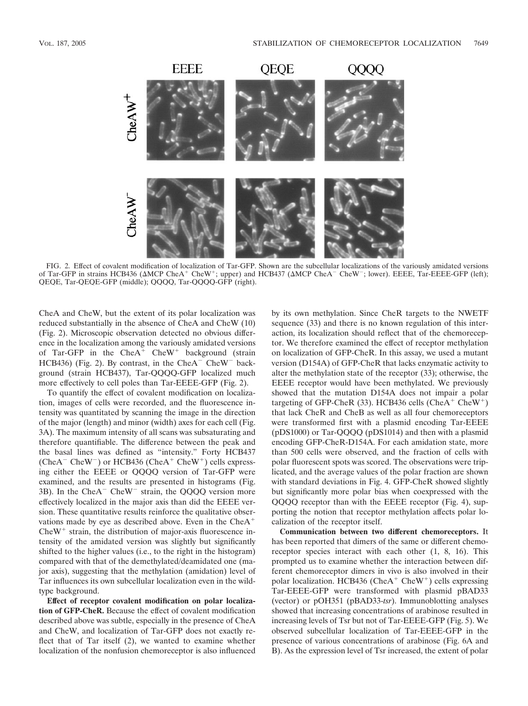

FIG. 2. Effect of covalent modification of localization of Tar-GFP. Shown are the subcellular localizations of the variously amidated versions of Tar-GFP in strains HCB436 ( $\triangle MCP$  CheA<sup>+</sup> CheW<sup>+</sup>; upper) and HCB437 ( $\triangle MCP$  CheA<sup>-</sup> CheW<sup>-</sup>; lower). EEEE, Tar-EEEE-GFP (left); QEQE, Tar-QEQE-GFP (middle); QQQQ, Tar-QQQQ-GFP (right).

CheA and CheW, but the extent of its polar localization was reduced substantially in the absence of CheA and CheW (10) (Fig. 2). Microscopic observation detected no obvious difference in the localization among the variously amidated versions of Tar-GFP in the Che $A^+$  CheW<sup>+</sup> background (strain HCB436) (Fig. 2). By contrast, in the CheA $^-$ CheW $^-$ background (strain HCB437), Tar-QQQQ-GFP localized much more effectively to cell poles than Tar-EEEE-GFP (Fig. 2).

To quantify the effect of covalent modification on localization, images of cells were recorded, and the fluorescence intensity was quantitated by scanning the image in the direction of the major (length) and minor (width) axes for each cell (Fig. 3A). The maximum intensity of all scans was subsaturating and therefore quantifiable. The difference between the peak and the basal lines was defined as "intensity." Forty HCB437 (CheA<sup>-</sup> CheW<sup>-</sup>) or HCB436 (CheA<sup>+</sup> CheW<sup>+</sup>) cells expressing either the EEEE or QQQQ version of Tar-GFP were examined, and the results are presented in histograms (Fig.  $3B$ ). In the CheA<sup>-</sup> CheW<sup>-</sup> strain, the QQQQ version more effectively localized in the major axis than did the EEEE version. These quantitative results reinforce the qualitative observations made by eye as described above. Even in the CheA  $CheW<sup>+</sup> strain, the distribution of major-axis fluorescence in$ tensity of the amidated version was slightly but significantly shifted to the higher values (i.e., to the right in the histogram) compared with that of the demethylated/deamidated one (major axis), suggesting that the methylation (amidation) level of Tar influences its own subcellular localization even in the wildtype background.

**Effect of receptor covalent modification on polar localization of GFP-CheR.** Because the effect of covalent modification described above was subtle, especially in the presence of CheA and CheW, and localization of Tar-GFP does not exactly reflect that of Tar itself (2), we wanted to examine whether localization of the nonfusion chemoreceptor is also influenced

by its own methylation. Since CheR targets to the NWETF sequence (33) and there is no known regulation of this interaction, its localization should reflect that of the chemoreceptor. We therefore examined the effect of receptor methylation on localization of GFP-CheR. In this assay, we used a mutant version (D154A) of GFP-CheR that lacks enzymatic activity to alter the methylation state of the receptor (33); otherwise, the EEEE receptor would have been methylated. We previously showed that the mutation D154A does not impair a polar targeting of GFP-CheR (33). HCB436 cells (CheA<sup>+</sup> CheW<sup>+</sup>) that lack CheR and CheB as well as all four chemoreceptors were transformed first with a plasmid encoding Tar-EEEE (pDS1000) or Tar-QQQQ (pDS1014) and then with a plasmid encoding GFP-CheR-D154A. For each amidation state, more than 500 cells were observed, and the fraction of cells with polar fluorescent spots was scored. The observations were triplicated, and the average values of the polar fraction are shown with standard deviations in Fig. 4. GFP-CheR showed slightly but significantly more polar bias when coexpressed with the QQQQ receptor than with the EEEE receptor (Fig. 4), supporting the notion that receptor methylation affects polar localization of the receptor itself.

**Communication between two different chemoreceptors.** It has been reported that dimers of the same or different chemoreceptor species interact with each other (1, 8, 16). This prompted us to examine whether the interaction between different chemoreceptor dimers in vivo is also involved in their polar localization. HCB436 (Che $A^+$  CheW<sup>+</sup>) cells expressing Tar-EEEE-GFP were transformed with plasmid pBAD33 (vector) or pOH351 (pBAD33-*tsr*). Immunoblotting analyses showed that increasing concentrations of arabinose resulted in increasing levels of Tsr but not of Tar-EEEE-GFP (Fig. 5). We observed subcellular localization of Tar-EEEE-GFP in the presence of various concentrations of arabinose (Fig. 6A and B). As the expression level of Tsr increased, the extent of polar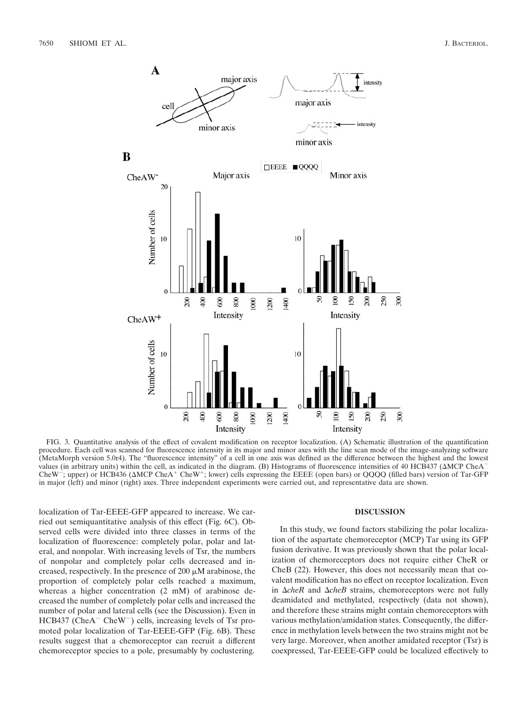

FIG. 3. Quantitative analysis of the effect of covalent modification on receptor localization. (A) Schematic illustration of the quantification procedure. Each cell was scanned for fluorescence intensity in its major and minor axes with the line scan mode of the image-analyzing software (MetaMorph version 5.0r4). The "fluorescence intensity" of a cell in one axis was defined as the difference between the highest and the lowest values (in arbitrary units) within the cell, as indicated in the diagram. (B) Histograms of fluorescence intensities of 40 HCB437 (MCP CheA CheW<sup>-</sup>; upper) or HCB436 ( $\triangle MCP$  CheA<sup>+</sup> CheW<sup>+</sup>; lower) cells expressing the EEEE (open bars) or QQQQ (filled bars) version of Tar-GFP in major (left) and minor (right) axes. Three independent experiments were carried out, and representative data are shown.

localization of Tar-EEEE-GFP appeared to increase. We carried out semiquantitative analysis of this effect (Fig. 6C). Observed cells were divided into three classes in terms of the localization of fluorescence: completely polar, polar and lateral, and nonpolar. With increasing levels of Tsr, the numbers of nonpolar and completely polar cells decreased and increased, respectively. In the presence of 200  $\mu$ M arabinose, the proportion of completely polar cells reached a maximum, whereas a higher concentration (2 mM) of arabinose decreased the number of completely polar cells and increased the number of polar and lateral cells (see the Discussion). Even in  $HCB437$  (CheA<sup>-</sup> CheW<sup>-</sup>) cells, increasing levels of Tsr promoted polar localization of Tar-EEEE-GFP (Fig. 6B). These results suggest that a chemoreceptor can recruit a different chemoreceptor species to a pole, presumably by coclustering.

# **DISCUSSION**

In this study, we found factors stabilizing the polar localization of the aspartate chemoreceptor (MCP) Tar using its GFP fusion derivative. It was previously shown that the polar localization of chemoreceptors does not require either CheR or CheB (22). However, this does not necessarily mean that covalent modification has no effect on receptor localization. Even in  $\Delta$ *cheR* and  $\Delta$ *cheB* strains, chemoreceptors were not fully deamidated and methylated, respectively (data not shown), and therefore these strains might contain chemoreceptors with various methylation/amidation states. Consequently, the difference in methylation levels between the two strains might not be very large. Moreover, when another amidated receptor (Tsr) is coexpressed, Tar-EEEE-GFP could be localized effectively to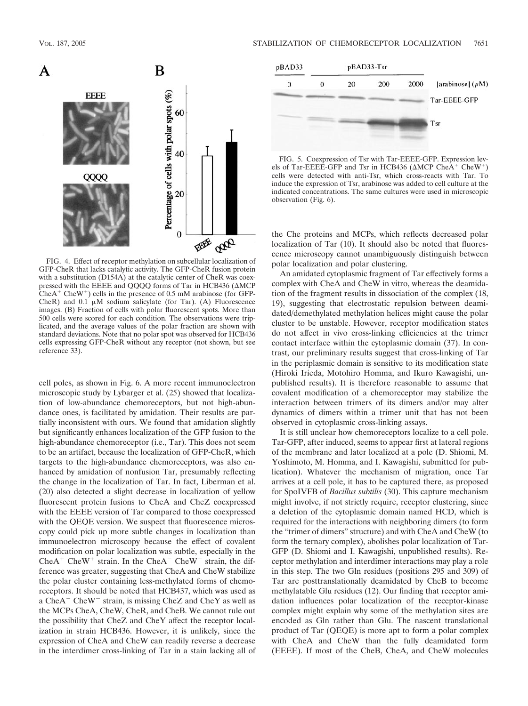

FIG. 4. Effect of receptor methylation on subcellular localization of GFP-CheR that lacks catalytic activity. The GFP-CheR fusion protein with a substitution (D154A) at the catalytic center of CheR was coexpressed with the EEEE and QQQQ forms of Tar in HCB436 (AMCP  $CheA<sup>+</sup> CheW<sup>+</sup>$ ) cells in the presence of 0.5 mM arabinose (for GFP-CheR) and 0.1  $\mu$ M sodium salicylate (for Tar). (A) Fluorescence images. (B) Fraction of cells with polar fluorescent spots. More than 500 cells were scored for each condition. The observations were triplicated, and the average values of the polar fraction are shown with standard deviations. Note that no polar spot was observed for HCB436 cells expressing GFP-CheR without any receptor (not shown, but see reference 33).

cell poles, as shown in Fig. 6. A more recent immunoelectron microscopic study by Lybarger et al. (25) showed that localization of low-abundance chemoreceptors, but not high-abundance ones, is facilitated by amidation. Their results are partially inconsistent with ours. We found that amidation slightly but significantly enhances localization of the GFP fusion to the high-abundance chemoreceptor (i.e., Tar). This does not seem to be an artifact, because the localization of GFP-CheR, which targets to the high-abundance chemoreceptors, was also enhanced by amidation of nonfusion Tar, presumably reflecting the change in the localization of Tar. In fact, Liberman et al. (20) also detected a slight decrease in localization of yellow fluorescent protein fusions to CheA and CheZ coexpressed with the EEEE version of Tar compared to those coexpressed with the QEQE version. We suspect that fluorescence microscopy could pick up more subtle changes in localization than immunoelectron microscopy because the effect of covalent modification on polar localization was subtle, especially in the  $CheA<sup>+</sup> CheW<sup>+</sup> strain. In the CheA<sup>-</sup> CheW<sup>-</sup> strain, the dif$ ference was greater, suggesting that CheA and CheW stabilize the polar cluster containing less-methylated forms of chemoreceptors. It should be noted that HCB437, which was used as a CheA<sup>-</sup> CheW<sup>-</sup> strain, is missing CheZ and CheY as well as the MCPs CheA, CheW, CheR, and CheB. We cannot rule out the possibility that CheZ and CheY affect the receptor localization in strain HCB436. However, it is unlikely, since the expression of CheA and CheW can readily reverse a decrease in the interdimer cross-linking of Tar in a stain lacking all of



FIG. 5. Coexpression of Tsr with Tar-EEEE-GFP. Expression levels of Tar-EEEE-GFP and Tsr in HCB436 ( $\triangle MCP$  CheA<sup>+</sup> CheW<sup>+</sup>) cells were detected with anti-Tsr, which cross-reacts with Tar. To induce the expression of Tsr, arabinose was added to cell culture at the indicated concentrations. The same cultures were used in microscopic observation (Fig. 6).

the Che proteins and MCPs, which reflects decreased polar localization of Tar (10). It should also be noted that fluorescence microscopy cannot unambiguously distinguish between polar localization and polar clustering.

An amidated cytoplasmic fragment of Tar effectively forms a complex with CheA and CheW in vitro, whereas the deamidation of the fragment results in dissociation of the complex (18, 19), suggesting that electrostatic repulsion between deamidated/demethylated methylation helices might cause the polar cluster to be unstable. However, receptor modification states do not affect in vivo cross-linking efficiencies at the trimer contact interface within the cytoplasmic domain (37). In contrast, our preliminary results suggest that cross-linking of Tar in the periplasmic domain is sensitive to its modification state (Hiroki Irieda, Motohiro Homma, and Ikuro Kawagishi, unpublished results). It is therefore reasonable to assume that covalent modification of a chemoreceptor may stabilize the interaction between trimers of its dimers and/or may alter dynamics of dimers within a trimer unit that has not been observed in cytoplasmic cross-linking assays.

It is still unclear how chemoreceptors localize to a cell pole. Tar-GFP, after induced, seems to appear first at lateral regions of the membrane and later localized at a pole (D. Shiomi, M. Yoshimoto, M. Homma, and I. Kawagishi, submitted for publication). Whatever the mechanism of migration, once Tar arrives at a cell pole, it has to be captured there, as proposed for SpoIVFB of *Bacillus subtilis* (30). This capture mechanism might involve, if not strictly require, receptor clustering, since a deletion of the cytoplasmic domain named HCD, which is required for the interactions with neighboring dimers (to form the "trimer of dimers" structure) and with CheA and CheW (to form the ternary complex), abolishes polar localization of Tar-GFP (D. Shiomi and I. Kawagishi, unpublished results). Receptor methylation and interdimer interactions may play a role in this step. The two Gln residues (positions 295 and 309) of Tar are posttranslationally deamidated by CheB to become methylatable Glu residues (12). Our finding that receptor amidation influences polar localization of the receptor-kinase complex might explain why some of the methylation sites are encoded as Gln rather than Glu. The nascent translational product of Tar (QEQE) is more apt to form a polar complex with CheA and CheW than the fully deamidated form (EEEE). If most of the CheB, CheA, and CheW molecules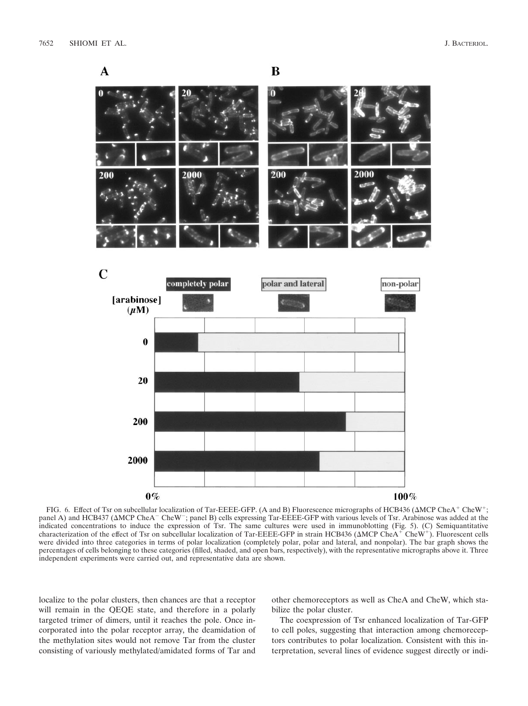

FIG. 6. Effect of Tsr on subcellular localization of Tar-EEEE-GFP. (A and B) Fluorescence micrographs of HCB436 ( $\triangle MCP$  CheA<sup>+</sup> CheW<sup>+</sup>; panel A) and HCB437 ( $\triangle MCP$  CheA<sup>-</sup> CheW<sup>-</sup>; panel B) cells expressing Tar-EEEE-GFP with various levels of Tsr. Arabinose was added at the indicated concentrations to induce the expression of Tsr. The same cultures were used in immunoblotting (Fig. 5). (C) Semiquantitative<br>characterization of the effect of Tsr on subcellular localization of Tar-EEEE-GFP in s were divided into three categories in terms of polar localization (completely polar, polar and lateral, and nonpolar). The bar graph shows the percentages of cells belonging to these categories (filled, shaded, and open bars, respectively), with the representative micrographs above it. Three independent experiments were carried out, and representative data are shown.

localize to the polar clusters, then chances are that a receptor will remain in the QEQE state, and therefore in a polarly targeted trimer of dimers, until it reaches the pole. Once incorporated into the polar receptor array, the deamidation of the methylation sites would not remove Tar from the cluster consisting of variously methylated/amidated forms of Tar and

other chemoreceptors as well as CheA and CheW, which stabilize the polar cluster.

The coexpression of Tsr enhanced localization of Tar-GFP to cell poles, suggesting that interaction among chemoreceptors contributes to polar localization. Consistent with this interpretation, several lines of evidence suggest directly or indi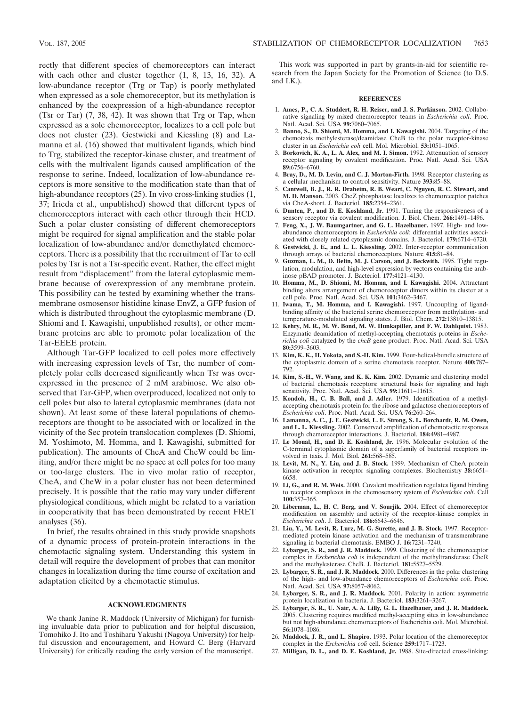rectly that different species of chemoreceptors can interact with each other and cluster together (1, 8, 13, 16, 32). A low-abundance receptor (Trg or Tap) is poorly methylated when expressed as a sole chemoreceptor, but its methylation is enhanced by the coexpression of a high-abundance receptor (Tsr or Tar) (7, 38, 42). It was shown that Trg or Tap, when expressed as a sole chemoreceptor, localizes to a cell pole but does not cluster (23). Gestwicki and Kiessling (8) and Lamanna et al. (16) showed that multivalent ligands, which bind to Trg, stabilized the receptor-kinase cluster, and treatment of cells with the multivalent ligands caused amplification of the response to serine. Indeed, localization of low-abundance receptors is more sensitive to the modification state than that of high-abundance receptors (25). In vivo cross-linking studies (1, 37; Irieda et al., unpublished) showed that different types of chemoreceptors interact with each other through their HCD. Such a polar cluster consisting of different chemoreceptors might be required for signal amplification and the stable polar localization of low-abundance and/or demethylated chemoreceptors. There is a possibility that the recruitment of Tar to cell poles by Tsr is not a Tsr-specific event. Rather, the effect might result from "displacement" from the lateral cytoplasmic membrane because of overexpression of any membrane protein. This possibility can be tested by examining whether the transmembrane osmosensor histidine kinase EnvZ, a GFP fusion of

which is distributed throughout the cytoplasmic membrane (D. Shiomi and I. Kawagishi, unpublished results), or other membrane proteins are able to promote polar localization of the Tar-EEEE protein. Although Tar-GFP localized to cell poles more effectively

with increasing expression levels of Tsr, the number of completely polar cells decreased significantly when Tsr was overexpressed in the presence of 2 mM arabinose. We also observed that Tar-GFP, when overproduced, localized not only to cell poles but also to lateral cytoplasmic membranes (data not shown). At least some of these lateral populations of chemoreceptors are thought to be associated with or localized in the vicinity of the Sec protein translocation complexes (D. Shiomi, M. Yoshimoto, M. Homma, and I. Kawagishi, submitted for publication). The amounts of CheA and CheW could be limiting, and/or there might be no space at cell poles for too many or too-large clusters. The in vivo molar ratio of receptor, CheA, and CheW in a polar cluster has not been determined precisely. It is possible that the ratio may vary under different physiological conditions, which might be related to a variation in cooperativity that has been demonstrated by recent FRET analyses (36).

In brief, the results obtained in this study provide snapshots of a dynamic process of protein-protein interactions in the chemotactic signaling system. Understanding this system in detail will require the development of probes that can monitor changes in localization during the time course of excitation and adaptation elicited by a chemotactic stimulus.

## **ACKNOWLEDGMENTS**

We thank Janine R. Maddock (University of Michigan) for furnishing invaluable data prior to publication and for helpful discussion, Tomohiko J. Ito and Toshiharu Yakushi (Nagoya University) for helpful discussion and encouragement, and Howard C. Berg (Harvard University) for critically reading the early version of the manuscript.

This work was supported in part by grants-in-aid for scientific research from the Japan Society for the Promotion of Science (to D.S. and I.K.).

## **REFERENCES**

- 1. **Ames, P., C. A. Studdert, R. H. Reiser, and J. S. Parkinson.** 2002. Collaborative signaling by mixed chemoreceptor teams in *Escherichia coli*. Proc. Natl. Acad. Sci. USA **99:**7060–7065.
- 2. **Banno, S., D. Shiomi, M. Homma, and I. Kawagishi.** 2004. Targeting of the chemotaxis methylesterase/deamidase CheB to the polar receptor-kinase cluster in an *Escherichia coli* cell. Mol. Microbiol. **53:**1051–1065.
- 3. **Borkovich, K. A., L. A. Alex, and M. I. Simon.** 1992. Attenuation of sensory receptor signaling by covalent modification. Proc. Natl. Acad. Sci. USA **89:**6756–6760.
- 4. **Bray, D., M. D. Levin, and C. J. Morton-Firth.** 1998. Receptor clustering as a cellular mechanism to control sensitivity. Nature **393:**85–88.
- 5. **Cantwell, B. J., R. R. Draheim, R. B. Weart, C. Nguyen, R. C. Stewart, and M. D. Manson.** 2003. CheZ phosphatase localizes to chemoreceptor patches via CheA-short. J. Bacteriol. **185:**2354–2361.
- 6. **Dunten, P., and D. E. Koshland, Jr.** 1991. Tuning the responsiveness of a sensory receptor via covalent modification. J. Biol. Chem. **266:**1491–1496.
- 7. **Feng, X., J. W. Baumgartner, and G. L. Hazelbauer.** 1997. High- and lowabundance chemoreceptors in *Escherichia coli*: differential activities associated with closely related cytoplasmic domains. J. Bacteriol. **179:**6714–6720.
- 8. **Gestwicki, J. E., and L. L. Kiessling.** 2002. Inter-receptor communication through arrays of bacterial chemoreceptors. Nature **415:**81–84.
- 9. **Guzman, L. M., D. Belin, M. J. Carson, and J. Beckwith.** 1995. Tight regulation, modulation, and high-level expression by vectors containing the arabinose pBAD promoter. J. Bacteriol. **177:**4121–4130.
- 10. **Homma, M., D. Shiomi, M. Homma, and I. Kawagishi.** 2004. Attractant binding alters arrangement of chemoreceptor dimers within its cluster at a cell pole. Proc. Natl. Acad. Sci. USA **101:**3462–3467.
- 11. **Iwama, T., M. Homma, and I. Kawagishi.** 1997. Uncoupling of ligandbinding affinity of the bacterial serine chemoreceptor from methylation- and temperature-modulated signaling states. J. Biol. Chem. **272:**13810–13815.
- 12. **Kehry, M. R., M. W. Bond, M. W. Hunkapiller, and F. W. Dahlquist.** 1983. Enzymatic deamidation of methyl-accepting chemotaxis proteins in *Escherichia coli* catalyzed by the *cheB* gene product. Proc. Natl. Acad. Sci. USA **80:**3599–3603.
- 13. **Kim, K. K., H. Yokota, and S.-H. Kim.** 1999. Four-helical-bundle structure of the cytoplasmic domain of a serine chemotaxis receptor. Nature **400:**787– 792.
- 14. **Kim, S.-H., W. Wang, and K. K. Kim.** 2002. Dynamic and clustering model of bacterial chemotaxis receptors: structural basis for signaling and high sensitivity. Proc. Natl. Acad. Sci. USA **99:**11611–11615.
- 15. **Kondoh, H., C. B. Ball, and J. Adler.** 1979. Identification of a methylaccepting chemotaxis protein for the ribose and galactose chemoreceptors of *Escherichia coli*. Proc. Natl. Acad. Sci. USA **76:**260–264.
- 16. **Lamanna, A. C., J. E. Gestwicki, L. E. Strong, S. L. Borchardt, R. M. Owen, and L. L. Kiessling.** 2002. Conserved amplification of chemotactic responses through chemoreceptor interactions. J. Bacteriol. **184:**4981–4987.
- 17. **Le Moual, H., and D. E. Koshland, Jr.** 1996. Molecular evolution of the C-terminal cytoplasmic domain of a superfamily of bacterial receptors involved in taxis. J. Mol. Biol. **261:**568–585.
- 18. **Levit, M. N., Y. Liu, and J. B. Stock.** 1999. Mechanism of CheA protein kinase activation in receptor signaling complexes. Biochemistry **38:**6651– 6658.
- 19. **Li, G., and R. M. Weis.** 2000. Covalent modification regulates ligand binding to receptor complexes in the chemosensory system of *Escherichia coli*. Cell **100:**357–365.
- 20. **Liberman, L., H. C. Berg, and V. Sourjik.** 2004. Effect of chemoreceptor modification on assembly and activity of the receptor-kinase complex in *Escherichia coli*. J. Bacteriol. **186:**6643–6646.
- 21. **Liu, Y., M. Levit, R. Lurz, M. G. Surette, and J. B. Stock.** 1997. Receptormediated protein kinase activation and the mechanism of transmembrane signaling in bacterial chemotaxis. EMBO J. **16:**7231–7240.
- 22. **Lybarger, S. R., and J. R. Maddock.** 1999. Clustering of the chemoreceptor complex in *Escherichia coli* is independent of the methyltransferase CheR and the methylesterase CheB. J. Bacteriol. **181:**5527–5529.
- 23. **Lybarger, S. R., and J. R. Maddock.** 2000. Differences in the polar clustering of the high- and low-abundance chemoreceptors of *Escherichia coli*. Proc. Natl. Acad. Sci. USA **97:**8057–8062.
- 24. **Lybarger, S. R., and J. R. Maddock.** 2001. Polarity in action: asymmetric protein localization in bacteria. J. Bacteriol. **183:**3261–3267.
- 25. **Lybarger, S. R., U. Nair, A. A. Lilly, G. L. Hazelbauer, and J. R. Maddock.** 2005. Clustering requires modified methyl-accepting sites in low-abundance but not high-abundance chemoreceptors of Escherichia coli. Mol. Microbiol. **56:**1078–1086.
- 26. **Maddock, J. R., and L. Shapiro.** 1993. Polar location of the chemoreceptor complex in the *Escherichia coli* cell. Science **259:**1717–1723.
- 27. **Milligan, D. L., and D. E. Koshland, Jr.** 1988. Site-directed cross-linking: